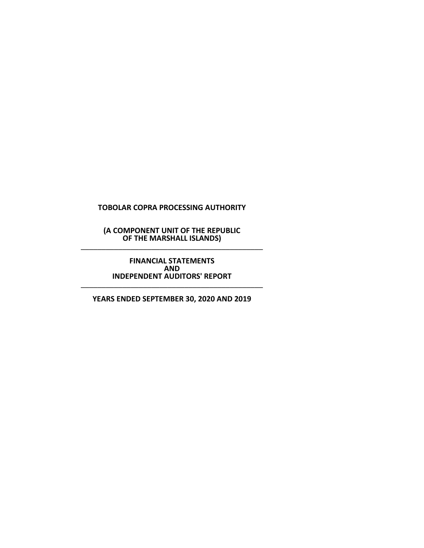**(A COMPONENT UNIT OF THE REPUBLIC OF THE MARSHALL ISLANDS)** 

**FINANCIAL STATEMENTS AND INDEPENDENT AUDITORS' REPORT** 

**YEARS ENDED SEPTEMBER 30, 2020 AND 2019**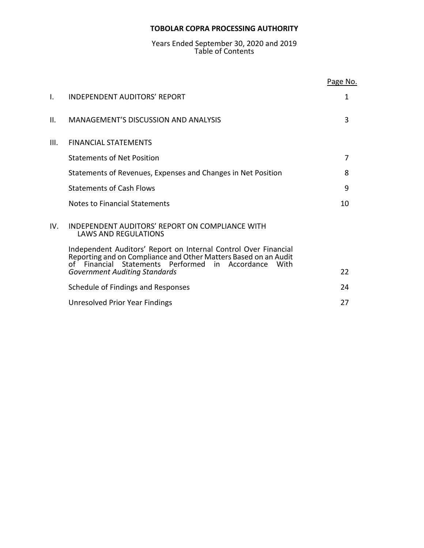# Years Ended September 30, 2020 and 2019 Table of Contents

|      |                                                                                                                                                                                                     | Page No. |
|------|-----------------------------------------------------------------------------------------------------------------------------------------------------------------------------------------------------|----------|
| I.   | <b>INDEPENDENT AUDITORS' REPORT</b>                                                                                                                                                                 | 1        |
| II.  | <b>MANAGEMENT'S DISCUSSION AND ANALYSIS</b>                                                                                                                                                         | 3        |
| III. | <b>FINANCIAL STATEMENTS</b>                                                                                                                                                                         |          |
|      | <b>Statements of Net Position</b>                                                                                                                                                                   | 7        |
|      | Statements of Revenues, Expenses and Changes in Net Position                                                                                                                                        | 8        |
|      | <b>Statements of Cash Flows</b>                                                                                                                                                                     | 9        |
|      | Notes to Financial Statements                                                                                                                                                                       | 10       |
| IV.  | INDEPENDENT AUDITORS' REPORT ON COMPLIANCE WITH<br><b>LAWS AND REGULATIONS</b>                                                                                                                      |          |
|      | Independent Auditors' Report on Internal Control Over Financial<br>Reporting and on Compliance and Other Matters Based on an Audit<br>Financial Statements Performed<br>in Accordance<br>οf<br>With |          |
|      | <b>Government Auditing Standards</b>                                                                                                                                                                | 22       |
|      | Schedule of Findings and Responses                                                                                                                                                                  | 24       |
|      | Unresolved Prior Year Findings                                                                                                                                                                      | 27       |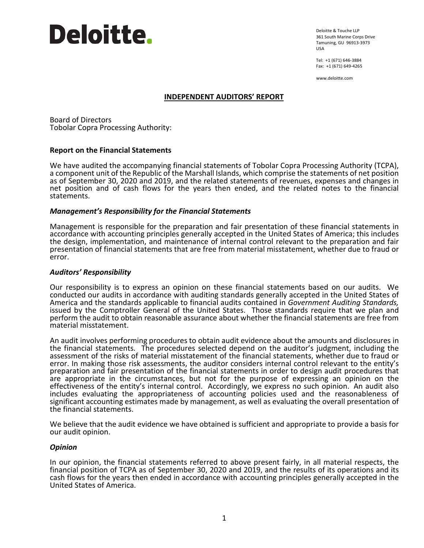

Deloitte & Touche LLP 361 South Marine Corps Drive Tamuning, GU 96913-3973 USA

Tel: +1 (671) 646-3884 Fax: +1 (671) 649-4265

www.deloitte.com

# **INDEPENDENT AUDITORS' REPORT**

Board of Directors Tobolar Copra Processing Authority:

# **Report on the Financial Statements**

We have audited the accompanying financial statements of Tobolar Copra Processing Authority (TCPA), a component unit of the Republic of the Marshall Islands, which comprise the statements of net position as of September 30, 2020 and 2019, and the related statements of revenues, expenses and changes in net position and of cash flows for the years then ended, and the related notes to the financial statements.

# *Management's Responsibility for the Financial Statements*

Management is responsible for the preparation and fair presentation of these financial statements in accordance with accounting principles generally accepted in the United States of America; this includes the design, implementation, and maintenance of internal control relevant to the preparation and fair presentation of financial statements that are free from material misstatement, whether due to fraud or error.

#### *Auditors' Responsibility*

Our responsibility is to express an opinion on these financial statements based on our audits. We conducted our audits in accordance with auditing standards generally accepted in the United States of America and the standards applicable to financial audits contained in *Government Auditing Standards,* issued by the Comptroller General of the United States. Those standards require that we plan and perform the audit to obtain reasonable assurance about whether the financial statements are free from material misstatement.

An audit involves performing procedures to obtain audit evidence about the amounts and disclosures in the financial statements. The procedures selected depend on the auditor's judgment, including the assessment of the risks of material misstatement of the financial statements, whether due to fraud or error. In making those risk assessments, the auditor considers internal control relevant to the entity's preparation and fair presentation of the financial statements in order to design audit procedures that are appropriate in the circumstances, but not for the purpose of expressing an opinion on the effectiveness of the entity's internal control. Accordingly, we express no such opinion. An audit also includes evaluating the appropriateness of accounting policies used and the reasonableness of significant accounting estimates made by management, as well as evaluating the overall presentation of the financial statements.

We believe that the audit evidence we have obtained is sufficient and appropriate to provide a basis for our audit opinion.

#### *Opinion*

In our opinion, the financial statements referred to above present fairly, in all material respects, the financial position of TCPA as of September 30, 2020 and 2019, and the results of its operations and its cash flows for the years then ended in accordance with accounting principles generally accepted in the United States of America.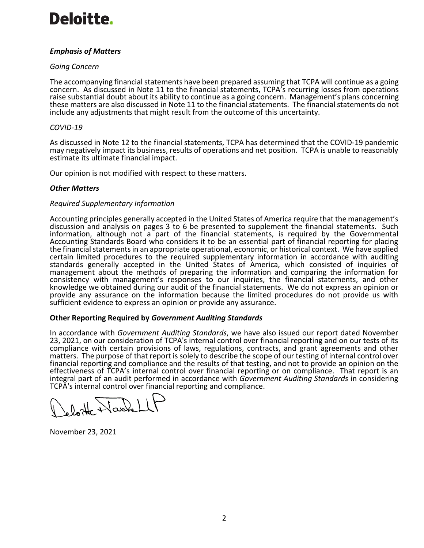# Deloitte.

# *Emphasis of Matters*

# *Going Concern*

The accompanying financial statements have been prepared assuming that TCPA will continue as a going concern. As discussed in Note 11 to the financial statements, TCPA's recurring losses from operations raise substantial doubt about its ability to continue as a going concern. Management's plans concerning these matters are also discussed in Note 11 to the financial statements. The financial statements do not include any adjustments that might result from the outcome of this uncertainty.

# *COVID-19*

As discussed in Note 12 to the financial statements, TCPA has determined that the COVID-19 pandemic may negatively impact its business, results of operations and net position. TCPA is unable to reasonably estimate its ultimate financial impact.

Our opinion is not modified with respect to these matters.

# *Other Matters*

# *Required Supplementary Information*

Accounting principles generally accepted in the United States of America require that the management's discussion and analysis on pages 3 to 6 be presented to supplement the financial statements. Such information, although not a part of the financial statements, is required by the Governmental Accounting Standards Board who considers it to be an essential part of financial reporting for placing the financial statements in an appropriate operational, economic, or historical context. We have applied certain limited procedures to the required supplementary information in accordance with auditing standards generally accepted in the United States of America, which consisted of inquiries of management about the methods of preparing the information and comparing the information for consistency with management's responses to our inquiries, the financial statements, and other knowledge we obtained during our audit of the financial statements. We do not express an opinion or provide any assurance on the information because the limited procedures do not provide us with sufficient evidence to express an opinion or provide any assurance.

# **Other Reporting Required by** *Government Auditing Standards*

In accordance with *Government Auditing Standards*, we have also issued our report dated November 23, 2021, on our consideration of TCPA's internal control over financial reporting and on our tests of its compliance with certain provisions of laws, regulations, contracts, and grant agreements and other matters. The purpose of that report is solely to describe the scope of our testing of internal control over financial reporting and compliance and the results of that testing, and not to provide an opinion on the effectiveness of TCPA's internal control over financial reporting or on compliance. That report is an integral part of an audit performed in accordance with *Government Auditing Standards* in considering TCPA's internal control over financial reporting and compliance.

November 23, 2021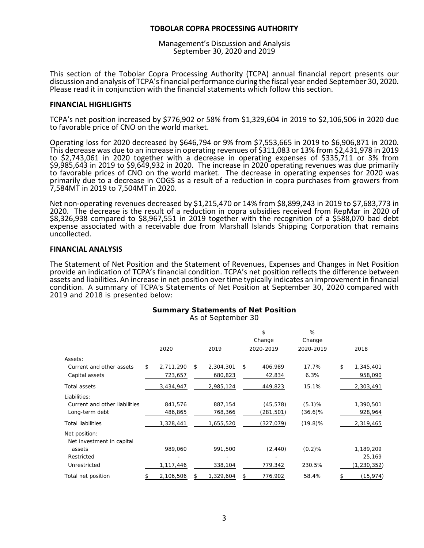Management's Discussion and Analysis September 30, 2020 and 2019

This section of the Tobolar Copra Processing Authority (TCPA) annual financial report presents our discussion and analysis of TCPA's financial performance during the fiscal year ended September 30, 2020. Please read it in conjunction with the financial statements which follow this section.

#### **FINANCIAL HIGHLIGHTS**

TCPA's net position increased by \$776,902 or 58% from \$1,329,604 in 2019 to \$2,106,506 in 2020 due to favorable price of CNO on the world market.

Operating loss for 2020 decreased by \$646,794 or 9% from \$7,553,665 in 2019 to \$6,906,871 in 2020. This decrease was due to an increase in operating revenues of \$311,083 or 13% from \$2,431,978 in 2019 to \$2,743,061 in 2020 together with a decrease in operating expenses of \$335,711 or 3% from \$9,985,643 in 2019 to \$9,649,932 in 2020. The increase in 2020 operating revenues was due primarily to favorable prices of CNO on the world market. The decrease in operating expenses for 2020 was primarily due to a decrease in COGS as a result of a reduction in copra purchases from growers from 7,584MT in 2019 to 7,504MT in 2020.

Net non-operating revenues decreased by \$1,215,470 or 14% from \$8,899,243 in 2019 to \$7,683,773 in<br>2020. The decrease is the result of a reduction in copra subsidies received from RepMar in 2020 of  $28,326,938$  compared to  $58,967,551$  in 2019 together with the recognition of a  $5588,070$  bad debt expense associated with a receivable due from Marshall Islands Shipping Corporation that remains uncollected.

# **FINANCIAL ANALYSIS**

The Statement of Net Position and the Statement of Revenues, Expenses and Changes in Net Position provide an indication of TCPA's financial condition. TCPA's net position reflects the difference between assets and liabilities. An increase in net position over time typically indicates an improvement in financial condition. A summary of TCPA's Statements of Net Position at September 30, 2020 compared with 2019 and 2018 is presented below:

#### **Summary Statements of Net Position** As of September 30

|                                            |                 |                 | \$            | %          |                 |
|--------------------------------------------|-----------------|-----------------|---------------|------------|-----------------|
|                                            |                 |                 | Change        | Change     |                 |
|                                            | 2020            | 2019            | 2020-2019     | 2020-2019  | 2018            |
| Assets:                                    |                 |                 |               |            |                 |
| Current and other assets                   | \$<br>2,711,290 | \$<br>2,304,301 | \$<br>406,989 | 17.7%      | \$<br>1,345,401 |
| Capital assets                             | 723,657         | 680,823         | 42,834        | 6.3%       | 958,090         |
| Total assets                               | 3,434,947       | 2,985,124       | 449,823       | 15.1%      | 2,303,491       |
| Liabilities:                               |                 |                 |               |            |                 |
| Current and other liabilities              | 841,576         | 887,154         | (45, 578)     | (5.1)%     | 1,390,501       |
| Long-term debt                             | 486,865         | 768,366         | (281,501)     | $(36.6)\%$ | 928,964         |
| <b>Total liabilities</b>                   | 1,328,441       | 1,655,520       | (327,079)     | $(19.8)\%$ | 2,319,465       |
| Net position:<br>Net investment in capital |                 |                 |               |            |                 |
| assets                                     | 989,060         | 991,500         | (2, 440)      | (0.2)%     | 1,189,209       |
| Restricted                                 |                 |                 |               |            | 25,169          |
| Unrestricted                               | 1,117,446       | 338,104         | 779,342       | 230.5%     | (1,230,352)     |
| Total net position                         | \$<br>2,106,506 | \$<br>1,329,604 | \$<br>776,902 | 58.4%      | \$<br>(15, 974) |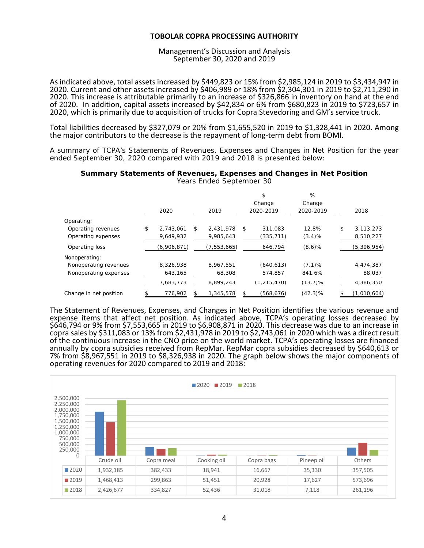Management's Discussion and Analysis September 30, 2020 and 2019

As indicated above, total assets increased by \$449,823 or 15% from \$2,985,124 in 2019 to \$3,434,947 in 2020. Current and other assets increased by \$406,989 or 18% from \$2,304,301 in 2019 to \$2,711,290 in 2020. This increase is attributable primarily to an increase of \$326,866 in inventory on hand at the end of 2020. In addition, capital assets increased by \$42,834 or 6% from \$680,823 in 2019 to \$723,657 in 2020, which is primarily due to acquisition of trucks for Copra Stevedoring and GM's service truck.

Total liabilities decreased by \$327,079 or 20% from \$1,655,520 in 2019 to \$1,328,441 in 2020. Among the major contributors to the decrease is the repayment of long-term debt from BOMI.

A summary of TCPA's Statements of Revenues, Expenses and Changes in Net Position for the year ended September 30, 2020 compared with 2019 and 2018 is presented below:

#### **Summary Statements of Revenues, Expenses and Changes in Net Position** Years Ended September 30

|                        |                 |                 | \$                  | %                   |                 |
|------------------------|-----------------|-----------------|---------------------|---------------------|-----------------|
|                        | 2020            | 2019            | Change<br>2020-2019 | Change<br>2020-2019 | 2018            |
| Operating:             |                 |                 |                     |                     |                 |
| Operating revenues     | \$<br>2,743,061 | \$<br>2,431,978 | \$<br>311,083       | 12.8%               | \$<br>3,113,273 |
| Operating expenses     | 9,649,932       | 9,985,643       | (335,711)           | (3.4)%              | 8,510,227       |
| Operating loss         | (6,906,871)     | (7,553,665)     | 646,794             | $(8.6)$ %           | (5,396,954)     |
| Nonoperating:          |                 |                 |                     |                     |                 |
| Nonoperating revenues  | 8,326,938       | 8,967,551       | (640, 613)          | (7.1)%              | 4,474,387       |
| Nonoperating expenses  | 643,165         | 68,308          | 574,857             | 841.6%              | 88,037          |
|                        | 7,683,773       | 8,899,243       | (1, 215, 470)       | $(13.7)\%$          | 4,386,350       |
| Change in net position | 776,902         | 1,345,578       | (568,676)           | $(42.3)\%$          | (1,010,604)     |

The Statement of Revenues, Expenses, and Changes in Net Position identifies the various revenue and expense items that affect net position. As indicated above, TCPA's operating losses decreased by \$646,794 or 9% from \$7,553,665 in 2019 to \$6,908,871 in 2020. This decrease was due to an increase in copra sales by \$311,083 or 13% from \$2,431,978 in 2019 to \$2,743,061 in 2020 which was a direct result of the continuous increase in the CNO price on the world market. TCPA's operating losses are financed<br>annually by copra subsidies received from RepMar. RepMar copra subsidies decreased by \$640,613 or  $7%$  from \$8,967,551 in 2019 to \$8,326,938 in 2020. The graph below shows the major components of operating revenues for 2020 compared to 2019 and 2018:

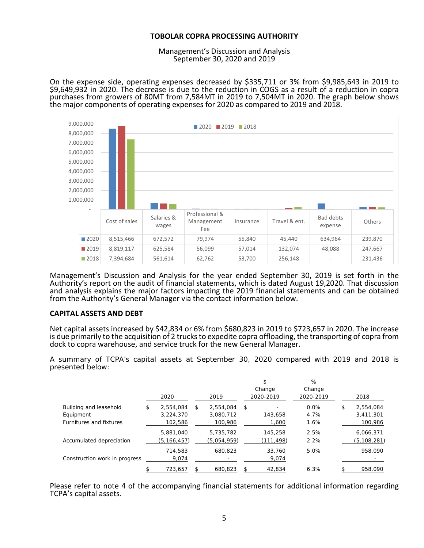Management's Discussion and Analysis September 30, 2020 and 2019

On the expense side, operating expenses decreased by \$335,711 or 3% from \$9,985,643 in 2019 to \$9,649,932 in 2020. The decrease is due to the reduction in COGS as a result of a reduction in copra purchases from growers of 80MT from 7,584MT in 2019 to 7,504MT in 2020. The graph below shows the major components of operating expenses for 2020 as compared to 2019 and 2018.



Management's Discussion and Analysis for the year ended September 30, 2019 is set forth in the Authority's report on the audit of financial statements, which is dated August 19,2020. That discussion and analysis explains the major factors impacting the 2019 financial statements and can be obtained from the Authority's General Manager via the contact information below.

# **CAPITAL ASSETS AND DEBT**

Net capital assets increased by \$42,834 or 6% from \$680,823 in 2019 to \$723,657 in 2020. The increase is due primarily to the acquisition of 2 trucks to expedite copra offloading, the transporting of copra from dock to copra warehouse, and service truck for the new General Manager.

A summary of TCPA's capital assets at September 30, 2020 compared with 2019 and 2018 is presented below:

|                                | 2020            |    | 2019        | \$<br>Change<br>2020-2019 | %<br>Change<br>2020-2019 | 2018            |
|--------------------------------|-----------------|----|-------------|---------------------------|--------------------------|-----------------|
| Building and leasehold         | \$<br>2,554,084 | S. | 2,554,084   | \$                        | 0.0%                     | \$<br>2,554,084 |
| Equipment                      | 3,224,370       |    | 3,080,712   | 143.658                   | 4.7%                     | 3,411,301       |
| <b>Furnitures and fixtures</b> | 102,586         |    | 100,986     | 1,600                     | 1.6%                     | 100,986         |
|                                | 5,881,040       |    | 5,735,782   | 145,258                   | 2.5%                     | 6,066,371       |
| Accumulated depreciation       | (5, 166, 457)   |    | (5,054,959) | (111,498)                 | 2.2%                     | (5,108,281)     |
|                                | 714,583         |    | 680,823     | 33,760                    | 5.0%                     | 958,090         |
| Construction work in progress  | 9,074           |    | ٠           | 9,074                     |                          |                 |
|                                | 723,657         |    | 680,823     | 42,834                    | 6.3%                     | 958.090         |

Please refer to note 4 of the accompanying financial statements for additional information regarding TCPA's capital assets.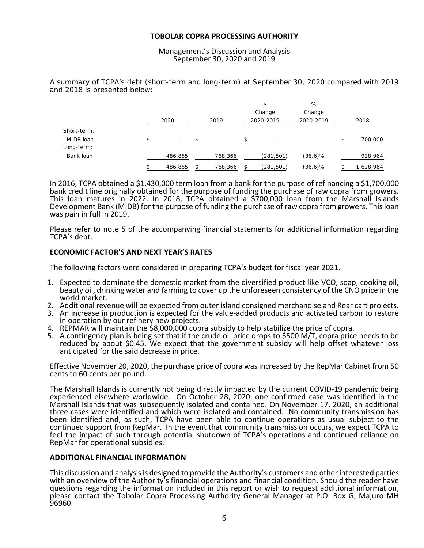Management's Discussion and Analysis September 30, 2020 and 2019

A summary of TCPA's debt (short-term and long-term) at September 30, 2020 compared with 2019 and 2018 is presented below:

|             |                                |         | \$               | %          |               |
|-------------|--------------------------------|---------|------------------|------------|---------------|
|             |                                |         | Change           | Change     |               |
|             | 2020                           | 2019    | 2020-2019        | 2020-2019  | 2018          |
| Short-term: |                                |         |                  |            |               |
| MIDB loan   | \$<br>$\overline{\phantom{a}}$ | \$<br>٠ | \$<br>۰          |            | \$<br>700,000 |
| Long-term:  |                                |         |                  |            |               |
| Bank loan   | 486,865                        | 768,366 | (281, 501)       | $(36.6)\%$ | 928,964       |
|             | \$<br>486,865                  | 768,366 | \$<br>(281, 501) | $(36.6)$ % | 1,628,964     |

In 2016, TCPA obtained a \$1,430,000 term loan from a bank for the purpose of refinancing a \$1,700,000 bank credit line originally obtained for the purpose of funding the purchase of raw copra from growers. This loan matures in 2022. In 2018, TCPA obtained a \$700,000 loan from the Marshall Islands Development Bank (MIDB) for the purpose of funding the purchase of raw copra from growers. This loan was pain in full in 2019.

Please refer to note 5 of the accompanying financial statements for additional information regarding TCPA's debt.

# **ECONOMIC FACTOR'S AND NEXT YEAR'S RATES**

The following factors were considered in preparing TCPA's budget for fiscal year 2021.

- 1. Expected to dominate the domestic market from the diversified product like VCO, soap, cooking oil, beauty oil, drinking water and farming to cover up the unforeseen consistency of the CNO price in the world market.
- 2. Additional revenue will be expected from outer island consigned merchandise and Rear cart projects.
- 3. An increase in production is expected for the value-added products and activated carbon to restore in operation by our refinery new projects.
- 4. REPMAR will maintain the \$8,000,000 copra subsidy to help stabilize the price of copra.<br>5. A contingency plan is being set that if the crude oil price drops to \$500 M/T, copra price needs to be
- reduced by about \$0.45. We expect that the government subsidy will help offset whatever loss anticipated for the said decrease in price.

Effective November 20, 2020, the purchase price of copra was increased by the RepMar Cabinet from 50 cents to 60 cents per pound.

The Marshall Islands is currently not being directly impacted by the current COVID-19 pandemic being experienced elsewhere worldwide. On October 28, 2020, one confirmed case was identified in the Marshall Islands that was subsequently isolated and contained. On November 17, 2020, an additional three cases were identified and which were isolated and contained. No community transmission has been identified and, as such, TCPA have been able to continue operations as usual subject to the continued support from RepMar. In the event that community transmission occurs, we expect TCPA to feel the impact of such through potential shutdown of TCPA's operations and continued reliance on RepMar for operational subsidies.

#### **ADDITIONAL FINANCIAL INFORMATION**

This discussion and analysis is designed to provide the Authority's customers and other interested parties with an overview of the Authority's financial operations and financial condition. Should the reader have questions regarding the information included in this report or wish to request additional information, please contact the Tobolar Copra Processing Authority General Manager at P.O. Box G, Majuro MH 96960.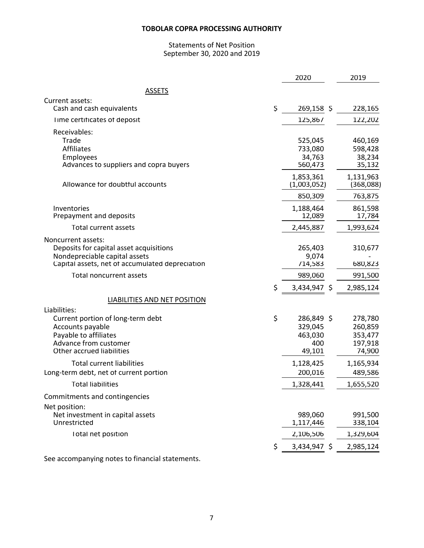# Statements of Net Position September 30, 2020 and 2019

|                                                                                                                                                      |    | 2020                                              | 2019                                               |
|------------------------------------------------------------------------------------------------------------------------------------------------------|----|---------------------------------------------------|----------------------------------------------------|
| <b>ASSETS</b>                                                                                                                                        |    |                                                   |                                                    |
| Current assets:<br>Cash and cash equivalents                                                                                                         | Ş  | 269,158 \$                                        | 228,165                                            |
| Time certificates of deposit                                                                                                                         |    | 125,867                                           | 122,202                                            |
| Receivables:<br>Trade<br><b>Affiliates</b><br>Employees<br>Advances to suppliers and copra buyers                                                    |    | 525,045<br>733,080<br>34,763<br>560,473           | 460,169<br>598,428<br>38,234<br>35,132             |
| Allowance for doubtful accounts                                                                                                                      |    | 1,853,361<br>(1,003,052)                          | 1,131,963<br>(368,088)                             |
|                                                                                                                                                      |    | 850,309                                           | 763,875                                            |
| Inventories<br>Prepayment and deposits                                                                                                               |    | 1,188,464<br>12,089                               | 861,598<br>17,784                                  |
| Total current assets                                                                                                                                 |    | 2,445,887                                         | 1,993,624                                          |
| Noncurrent assets:<br>Deposits for capital asset acquisitions<br>Nondepreciable capital assets<br>Capital assets, net of accumulated depreciation    |    | 265,403<br>9,074<br>714,583                       | 310,677<br>680,823                                 |
| <b>Total noncurrent assets</b>                                                                                                                       |    | 989,060                                           | 991,500                                            |
|                                                                                                                                                      | \$ | 3,434,947 \$                                      | 2,985,124                                          |
| LIABILITIES AND NET POSITION                                                                                                                         |    |                                                   |                                                    |
| Liabilities:<br>Current portion of long-term debt<br>Accounts payable<br>Payable to affiliates<br>Advance from customer<br>Other accrued liabilities | \$ | 286,849 \$<br>329,045<br>463,030<br>400<br>49,101 | 278,780<br>260,859<br>353,477<br>197,918<br>74,900 |
| <b>Total current liabilities</b>                                                                                                                     |    | 1,128,425                                         | 1,165,934                                          |
| Long-term debt, net of current portion                                                                                                               |    | 200,016                                           | 489,586                                            |
| <b>Total liabilities</b>                                                                                                                             |    | 1,328,441                                         | 1,655,520                                          |
| Commitments and contingencies                                                                                                                        |    |                                                   |                                                    |
| Net position:<br>Net investment in capital assets<br>Unrestricted                                                                                    |    | 989,060<br>1,117,446                              | 991,500<br>338,104                                 |
| Total net position                                                                                                                                   |    | 2,106,506                                         | 1,329,604                                          |
|                                                                                                                                                      | \$ | 3,434,947 \$                                      | 2,985,124                                          |

See accompanying notes to financial statements.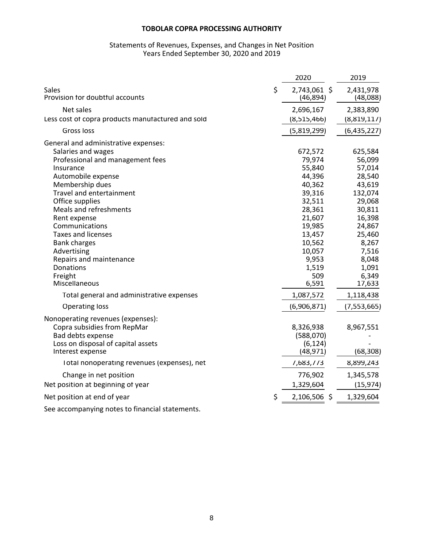### Statements of Revenues, Expenses, and Changes in Net Position Years Ended September 30, 2020 and 2019

|                                                                                                                                                                                                                                                                                                                                                                                                        | 2020                                                                                                                                                              | 2019                                                                                                                                                                |
|--------------------------------------------------------------------------------------------------------------------------------------------------------------------------------------------------------------------------------------------------------------------------------------------------------------------------------------------------------------------------------------------------------|-------------------------------------------------------------------------------------------------------------------------------------------------------------------|---------------------------------------------------------------------------------------------------------------------------------------------------------------------|
| Sales<br>Provision for doubtful accounts                                                                                                                                                                                                                                                                                                                                                               | \$<br>2,743,061 \$<br>(46, 894)                                                                                                                                   | 2,431,978<br>(48,088)                                                                                                                                               |
| Net sales                                                                                                                                                                                                                                                                                                                                                                                              | 2,696,167                                                                                                                                                         | 2,383,890                                                                                                                                                           |
| Less cost of copra products manufactured and sold                                                                                                                                                                                                                                                                                                                                                      | (8, 515, 466)                                                                                                                                                     | (8,819,117)                                                                                                                                                         |
| <b>Gross loss</b>                                                                                                                                                                                                                                                                                                                                                                                      | (5,819,299)                                                                                                                                                       | (6,435,227)                                                                                                                                                         |
| General and administrative expenses:<br>Salaries and wages<br>Professional and management fees<br>Insurance<br>Automobile expense<br>Membership dues<br>Travel and entertainment<br>Office supplies<br>Meals and refreshments<br>Rent expense<br>Communications<br><b>Taxes and licenses</b><br><b>Bank charges</b><br>Advertising<br>Repairs and maintenance<br>Donations<br>Freight<br>Miscellaneous | 672,572<br>79,974<br>55,840<br>44,396<br>40,362<br>39,316<br>32,511<br>28,361<br>21,607<br>19,985<br>13,457<br>10,562<br>10,057<br>9,953<br>1,519<br>509<br>6,591 | 625,584<br>56,099<br>57,014<br>28,540<br>43,619<br>132,074<br>29,068<br>30,811<br>16,398<br>24,867<br>25,460<br>8,267<br>7,516<br>8,048<br>1,091<br>6,349<br>17,633 |
| Total general and administrative expenses                                                                                                                                                                                                                                                                                                                                                              | 1,087,572                                                                                                                                                         | 1,118,438                                                                                                                                                           |
| <b>Operating loss</b>                                                                                                                                                                                                                                                                                                                                                                                  | (6,906,871)                                                                                                                                                       | (7, 553, 665)                                                                                                                                                       |
| Nonoperating revenues (expenses):<br>Copra subsidies from RepMar<br>Bad debts expense<br>Loss on disposal of capital assets<br>Interest expense                                                                                                                                                                                                                                                        | 8,326,938<br>(588,070)<br>(6, 124)<br>(48, 971)                                                                                                                   | 8,967,551<br>(68, 308)                                                                                                                                              |
| Total nonoperating revenues (expenses), net                                                                                                                                                                                                                                                                                                                                                            | 7,683,773                                                                                                                                                         | 8,899,243                                                                                                                                                           |
| Change in net position<br>Net position at beginning of year                                                                                                                                                                                                                                                                                                                                            | 776,902<br>1,329,604                                                                                                                                              | 1,345,578<br>(15, 974)                                                                                                                                              |
| Net position at end of year                                                                                                                                                                                                                                                                                                                                                                            | \$<br>$2,106,506$ \$                                                                                                                                              | 1,329,604                                                                                                                                                           |
| See accompanying notes to financial statements.                                                                                                                                                                                                                                                                                                                                                        |                                                                                                                                                                   |                                                                                                                                                                     |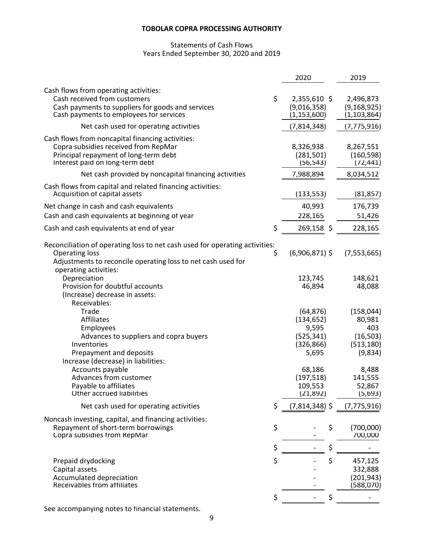# Statements of Cash Flows Years Ended September 30, 2020 and 2019

|                                                                                                                                                                                               | 2020                                                                  | 2019                                                              |
|-----------------------------------------------------------------------------------------------------------------------------------------------------------------------------------------------|-----------------------------------------------------------------------|-------------------------------------------------------------------|
| Cash flows from operating activities:<br>Cash received from customers<br>Cash payments to suppliers for goods and services<br>Cash payments to employees for services                         | \$<br>2,355,610 \$<br>(9,016,358)<br>(1, 153, 600)                    | 2,496,873<br>(9, 168, 925)<br>(1, 103, 864)                       |
| Net cash used for operating activities                                                                                                                                                        | (7, 814, 348)                                                         | (7, 775, 916)                                                     |
| Cash flows from noncapital financing activities:<br>Copra subsidies received from RepMar<br>Principal repayment of long-term debt<br>Interest paid on long-term debt                          | 8,326,938<br>(281, 501)<br>(56, 543)                                  | 8,267,551<br>(160, 598)<br>(72, 441)                              |
| Net cash provided by noncapital financing activities                                                                                                                                          | 7,988,894                                                             | 8,034,512                                                         |
| Cash flows from capital and related financing activities:<br>Acquisition of capital assets                                                                                                    | (133, 553)                                                            | (81, 857)                                                         |
| Net change in cash and cash equivalents<br>Cash and cash equivalents at beginning of year                                                                                                     | 40,993<br>228,165                                                     | 176,739<br>51,426                                                 |
| Cash and cash equivalents at end of year                                                                                                                                                      | \$<br>269,158\$                                                       | 228,165                                                           |
| Reconciliation of operating loss to net cash used for operating activities:<br><b>Operating loss</b><br>Adjustments to reconcile operating loss to net cash used for<br>operating activities: | \$<br>$(6,906,871)$ \$                                                | (7,553,665)                                                       |
| Depreciation<br>Provision for doubtful accounts<br>(Increase) decrease in assets:<br>Receivables:                                                                                             | 123,745<br>46,894                                                     | 148,621<br>48,088                                                 |
| Trade<br>Affiliates<br>Employees<br>Advances to suppliers and copra buyers<br>Inventories<br>Prepayment and deposits<br>Increase (decrease) in liabilities:                                   | (64, 876)<br>(134, 652)<br>9,595<br>(525, 341)<br>(326, 866)<br>5,695 | (158, 044)<br>80,981<br>403<br>(16, 503)<br>(513, 180)<br>(9,834) |
| Accounts payable<br>Advances from customer<br>Payable to affiliates<br>Other accrued liabilities                                                                                              | 68,186<br>(197, 518)<br>109,553<br>(21,892)                           | 8,488<br>141,555<br>52,867<br>(5,693)                             |
| Net cash used for operating activities                                                                                                                                                        | \$<br>$(7,814,348)$ \$                                                | (7, 775, 916)                                                     |
| Noncash investing, capital, and financing activities:<br>Repayment of short-term borrowings<br>Copra subsidies from RepMar                                                                    | \$                                                                    | \$<br>(700,000)<br>700,000                                        |
|                                                                                                                                                                                               | \$                                                                    | \$                                                                |
| Prepaid drydocking<br>Capital assets<br>Accumulated depreciation<br>Receivables from affiliates                                                                                               | \$                                                                    | \$<br>457,125<br>332,888<br>(201, 943)<br>(588,070)               |
|                                                                                                                                                                                               | \$                                                                    | \$                                                                |
|                                                                                                                                                                                               |                                                                       |                                                                   |

See accompanying notes to financial statements.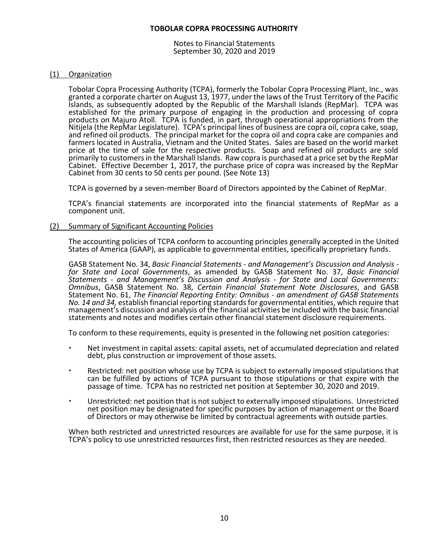Notes to Financial Statements September 30, 2020 and 2019

# (1) Organization

Tobolar Copra Processing Authority (TCPA), formerly the Tobolar Copra Processing Plant, Inc., was granted a corporate charter on August 13, 1977, under the laws of the Trust Territory of the Pacific Islands, as subsequently adopted by the Republic of the Marshall Islands (RepMar). TCPA was established for the primary purpose of engaging in the production and processing of copra products on Majuro Atoll. TCPA is funded, in part, through operational appropriations from the Nitijela (the RepMar Legislature). TCPA's principal lines of business are copra oil, copra cake, soap, and refined oil products. The principal market for the copra oil and copra cake are companies and farmers located in Australia, Vietnam and the United States. Sales are based on the world market price at the time of sale for the respective products. Soap and refined oil products are sold primarily to customers in the Marshall Islands. Raw copra is purchased at a price set by the RepMar Cabinet. Effective December 1, 2017, the purchase price of copra was increased by the RepMar Cabinet from 30 cents to 50 cents per pound. (See Note 13)

TCPA is governed by a seven-member Board of Directors appointed by the Cabinet of RepMar.

TCPA's financial statements are incorporated into the financial statements of RepMar as a component unit.

# (2) Summary of Significant Accounting Policies

The accounting policies of TCPA conform to accounting principles generally accepted in the United States of America (GAAP), as applicable to governmental entities, specifically proprietary funds.

GASB Statement No. 34, *Basic Financial Statements - and Management's Discussion and Analysis - for State and Local Governments*, as amended by GASB Statement No. 37, *Basic Financial Statements - and Management's Discussion and Analysis - for State and Local Governments: Omnibus*, GASB Statement No. 38, *Certain Financial Statement Note Disclosures*, and GASB Statement No. 61, *The Financial Reporting Entity: Omnibus - an amendment of GASB Statements No. 14 and 34,* establish financial reporting standards for governmental entities, which require that management's discussion and analysis of the financial activities be included with the basic financial statements and notes and modifies certain other financial statement disclosure requirements.

To conform to these requirements, equity is presented in the following net position categories:

- Net investment in capital assets: capital assets, net of accumulated depreciation and related debt, plus construction or improvement of those assets.
- Restricted: net position whose use by TCPA is subject to externally imposed stipulations that can be fulfilled by actions of TCPA pursuant to those stipulations or that expire with the passage of time. TCPA has no restricted net position at September 30, 2020 and 2019.
- Unrestricted: net position that is not subject to externally imposed stipulations. Unrestricted net position may be designated for specific purposes by action of management or the Board of Directors or may otherwise be limited by contractual agreements with outside parties.

When both restricted and unrestricted resources are available for use for the same purpose, it is TCPA's policy to use unrestricted resources first, then restricted resources as they are needed.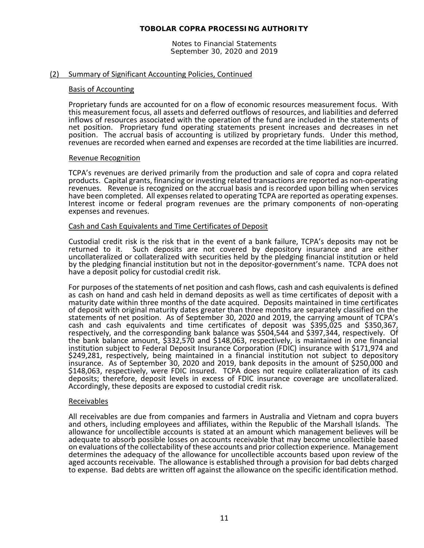Notes to Financial Statements September 30, 2020 and 2019

# (2) Summary of Significant Accounting Policies, Continued

#### Basis of Accounting

Proprietary funds are accounted for on a flow of economic resources measurement focus. With this measurement focus, all assets and deferred outflows of resources, and liabilities and deferred inflows of resources associated with the operation of the fund are included in the statements of net position. Proprietary fund operating statements present increases and decreases in net position. The accrual basis of accounting is utilized by proprietary funds. Under this method, revenues are recorded when earned and expenses are recorded at the time liabilities are incurred.

# Revenue Recognition

TCPA's revenues are derived primarily from the production and sale of copra and copra related products. Capital grants, financing or investing related transactions are reported as non-operating revenues. Revenue is recognized on the accrual basis and is recorded upon billing when services have been completed. All expenses related to operating TCPA are reported as operating expenses. Interest income or federal program revenues are the primary components of non-operating expenses and revenues.

# Cash and Cash Equivalents and Time Certificates of Deposit

Custodial credit risk is the risk that in the event of a bank failure, TCPA's deposits may not be Such deposits are not covered by depository insurance and are either uncollateralized or collateralized with securities held by the pledging financial institution or held by the pledging financial institution but not in the depositor-government's name. TCPA does not have a deposit policy for custodial credit risk.

For purposes of the statements of net position and cash flows, cash and cash equivalents is defined as cash on hand and cash held in demand deposits as well as time certificates of deposit with a maturity date within three months of the date acquired. Deposits maintained in time certificates of deposit with original maturity dates greater than three months are separately classified on the statements of net position. As of September 30, 2020 and 2019, the carrying amount of TCPA's cash and cash equivalents and time certificates of deposit was \$395,025 and \$350,367, respectively, and the corresponding bank balance was \$504,544 and \$397,344, respectively. Of the bank balance amount, \$332,570 and \$148,063, respectively, is maintained in one financial institution subject to Federal Deposit Insurance Corporation (FDIC) insurance with \$171,974 and \$249,281, respectively, being maintained in a financial institution not subject to depository insurance. As of September 30, 2020 and 2019, bank deposits in the amount of \$250,000 and \$148,063, respectively, were FDIC insured. TCPA does not require collateralization of its cash deposits; therefore, deposit levels in excess of FDIC insurance coverage are uncollateralized. Accordingly, these deposits are exposed to custodial credit risk.

#### Receivables

All receivables are due from companies and farmers in Australia and Vietnam and copra buyers and others, including employees and affiliates, within the Republic of the Marshall Islands. The allowance for uncollectible accounts is stated at an amount which management believes will be adequate to absorb possible losses on accounts receivable that may become uncollectible based on evaluations of the collectability of these accounts and prior collection experience. Management determines the adequacy of the allowance for uncollectible accounts based upon review of the aged accounts receivable. The allowance is established through a provision for bad debts charged to expense. Bad debts are written off against the allowance on the specific identification method.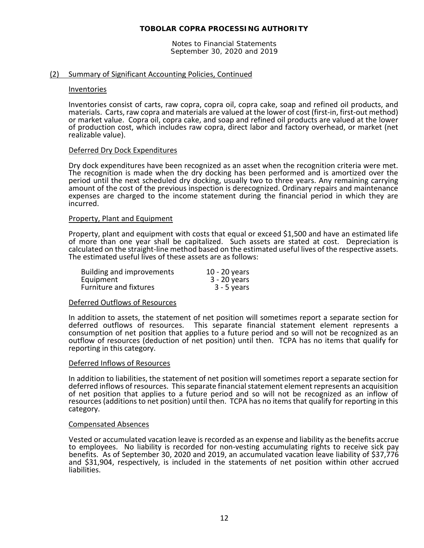Notes to Financial Statements September 30, 2020 and 2019

# (2) Summary of Significant Accounting Policies, Continued

#### Inventories

Inventories consist of carts, raw copra, copra oil, copra cake, soap and refined oil products, and materials. Carts, raw copra and materials are valued at the lower of cost (first-in, first-out method) or market value. Copra oil, copra cake, and soap and refined oil products are valued at the lower of production cost, which includes raw copra, direct labor and factory overhead, or market (net realizable value).

#### Deferred Dry Dock Expenditures

Dry dock expenditures have been recognized as an asset when the recognition criteria were met. The recognition is made when the dry docking has been performed and is amortized over the period until the next scheduled dry docking, usually two to three years. Any remaining carrying amount of the cost of the previous inspection is derecognized. Ordinary repairs and maintenance expenses are charged to the income statement during the financial period in which they are incurred.

#### Property, Plant and Equipment

Property, plant and equipment with costs that equal or exceed \$1,500 and have an estimated life of more than one year shall be capitalized. Such assets are stated at cost. Depreciation is calculated on the straight-line method based on the estimated useful lives of the respective assets. The estimated useful lives of these assets are as follows:

| <b>Building and improvements</b> | $10 - 20$ years |
|----------------------------------|-----------------|
| Equipment                        | $3 - 20$ years  |
| <b>Furniture and fixtures</b>    | $3 - 5$ years   |

#### Deferred Outflows of Resources

In addition to assets, the statement of net position will sometimes report a separate section for deferred outflows of resources. This separate financial statement element represents a consumption of net position that applies to a future period and so will not be recognized as an outflow of resources (deduction of net position) until then. TCPA has no items that qualify for reporting in this category.

#### Deferred Inflows of Resources

In addition to liabilities, the statement of net position will sometimes report a separate section for deferred inflows of resources. This separate financial statement element represents an acquisition of net position that applies to a future period and so will not be recognized as an inflow of resources (additions to net position) until then. TCPA has no items that qualify for reporting in this category.

#### Compensated Absences

Vested or accumulated vacation leave is recorded as an expense and liability as the benefits accrue to employees. No liability is recorded for non-vesting accumulating rights to receive sick pay benefits. As of September 30, 2020 and 2019, an accumulated vacation leave liability of \$37,776 and \$31,904, respectively, is included in the statements of net position within other accrued liabilities.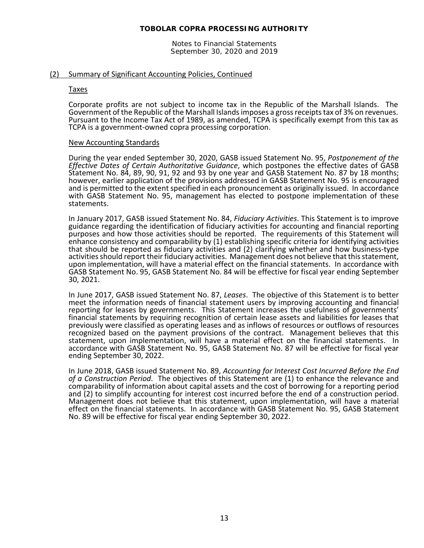Notes to Financial Statements September 30, 2020 and 2019

#### (2) Summary of Significant Accounting Policies, Continued

#### Taxes

Corporate profits are not subject to income tax in the Republic of the Marshall Islands. The Government of the Republic of the Marshall Islands imposes a gross receipts tax of 3% on revenues. Pursuant to the Income Tax Act of 1989, as amended, TCPA is specifically exempt from this tax as TCPA is a government-owned copra processing corporation.

#### New Accounting Standards

During the year ended September 30, 2020, GASB issued Statement No. 95, *Postponement of the Effective Dates of Certain Authoritative Guidance*, which postpones the effective dates of GASB Statement No. 84, 89, 90, 91, 92 and 93 by one year and GASB Statement No. 87 by 18 months; however, earlier application of the provisions addressed in GASB Statement No. 95 is encouraged and is permitted to the extent specified in each pronouncement as originally issued. In accordance with GASB Statement No. 95, management has elected to postpone implementation of these statements.

In January 2017, GASB issued Statement No. 84, *Fiduciary Activities*. This Statement is to improve guidance regarding the identification of fiduciary activities for accounting and financial reporting purposes and how those activities should be reported. The requirements of this Statement will enhance consistency and comparability by (1) establishing specific criteria for identifying activities that should be reported as fiduciary activities and (2) clarifying whether and how business-type activities should report their fiduciary activities. Management does not believe thatthis statement, upon implementation, will have a material effect on the financial statements. In accordance with GASB Statement No. 95, GASB Statement No. 84 will be effective for fiscal year ending September 30, 2021.

In June 2017, GASB issued Statement No. 87, *Leases*. The objective of this Statement is to better meet the information needs of financial statement users by improving accounting and financial reporting for leases by governments. This Statement increases the usefulness of governments' financial statements by requiring recognition of certain lease assets and liabilities for leases that previously were classified as operating leases and as inflows of resources or outflows of resources recognized based on the payment provisions of the contract. Management believes that this statement, upon implementation, will have a material effect on the financial statements. In accordance with GASB Statement No. 95, GASB Statement No. 87 will be effective for fiscal year ending September 30, 2022.

In June 2018, GASB issued Statement No. 89, *Accounting for Interest Cost Incurred Before the End of a Construction Period*. The objectives of this Statement are (1) to enhance the relevance and comparability of information about capital assets and the cost of borrowing for a reporting period and (2) to simplify accounting for interest cost incurred before the end of a construction period. Management does not believe that this statement, upon implementation, will have a material effect on the financial statements. In accordance with GASB Statement No. 95, GASB Statement No. 89 will be effective for fiscal year ending September 30, 2022.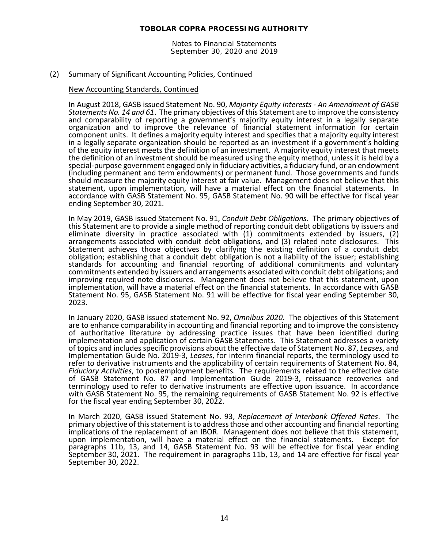Notes to Financial Statements September 30, 2020 and 2019

# (2) Summary of Significant Accounting Policies, Continued

# New Accounting Standards, Continued

In August 2018, GASB issued Statement No. 90, *Majority Equity Interests - An Amendment of GASB Statements No. 14 and 61*. The primary objectives of this Statement are to improve the consistency and comparability of reporting a government's majority equity interest in a legally separate organization and to improve the relevance of financial statement information for certain component units. It defines a majority equity interest and specifies that a majority equity interest in a legally separate organization should be reported as an investment if a government's holding of the equity interest meets the definition of an investment. A majority equity interest that meets the definition of an investment should be measured using the equity method, unless it is held by a special-purpose government engaged only in fiduciary activities, a fiduciary fund, or an endowment (including permanent and term endowments) or permanent fund. Those governments and funds should measure the majority equity interest at fair value. Management does not believe that this statement, upon implementation, will have a material effect on the financial statements. In accordance with GASB Statement No. 95, GASB Statement No. 90 will be effective for fiscal year ending September 30, 2021.

In May 2019, GASB issued Statement No. 91, *Conduit Debt Obligations*. The primary objectives of this Statement are to provide a single method of reporting conduit debt obligations by issuers and eliminate diversity in practice associated with (1) commitments extended by issuers, (2) arrangements associated with conduit debt obligations, and (3) related note disclosures. This Statement achieves those objectives by clarifying the existing definition of a conduit debt obligation; establishing that a conduit debt obligation is not a liability of the issuer; establishing standards for accounting and financial reporting of additional commitments and voluntary commitments extended by issuers and arrangements associated with conduit debt obligations; and improving required note disclosures. Management does not believe that this statement, upon implementation, will have a material effect on the financial statements. In accordance with GASB Statement No. 95, GASB Statement No. 91 will be effective for fiscal year ending September 30, 2023.

In January 2020, GASB issued statement No. 92, *Omnibus 2020*. The objectives of this Statement are to enhance comparability in accounting and financial reporting and to improve the consistency of authoritative literature by addressing practice issues that have been identified during implementation and application of certain GASB Statements. This Statement addresses a variety of topics and includes specific provisions about the effective date of Statement No. 87, *Leases*, and Implementation Guide No. 2019-3, *Leases*, for interim financial reports, the terminology used to refer to derivative instruments and the applicability of certain requirements of Statement No. 84, *Fiduciary Activities*, to postemployment benefits. The requirements related to the effective date of GASB Statement No. 87 and Implementation Guide 2019-3, reissuance recoveries and terminology used to refer to derivative instruments are effective upon issuance. In accordance with GASB Statement No. 95, the remaining requirements of GASB Statement No. 92 is effective for the fiscal year ending September 30, 2022.

In March 2020, GASB issued Statement No. 93, *Replacement of Interbank Offered Rates*. The primary objective of this statement is to address those and other accounting and financial reporting implications of the replacement of an IBOR. Management does not believe that this statement, upon implementation, will have a material effect on the financial statements. Except for paragraphs 11b, 13, and 14, GASB Statement No. 93 will be effective for fiscal year ending September 30, 2021. The requirement in paragraphs 11b, 13, and 14 are effective for fiscal year September 30, 2022.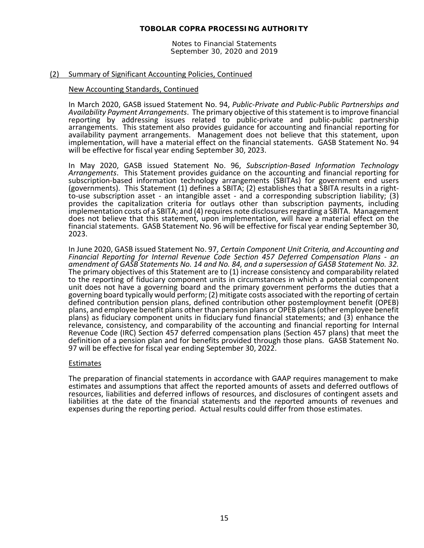Notes to Financial Statements September 30, 2020 and 2019

# (2) Summary of Significant Accounting Policies, Continued

# New Accounting Standards, Continued

In March 2020, GASB issued Statement No. 94, *Public-Private and Public-Public Partnerships and Availability Payment Arrangements*. The primary objective of this statement is to improve financial reporting by addressing issues related to public-private and public-public partnership arrangements. This statement also provides guidance for accounting and financial reporting for availability payment arrangements. Management does not believe that this statement, upon implementation, will have a material effect on the financial statements. GASB Statement No. 94 will be effective for fiscal year ending September 30, 2023.

In May 2020, GASB issued Statement No. 96, *Subscription-Based Information Technology Arrangements*. This Statement provides guidance on the accounting and financial reporting for subscription-based information technology arrangements (SBITAs) for government end users (governments). This Statement (1) defines a SBITA; (2) establishes that a SBITA results in a right- $\overline{10}$ -use subscription asset - an intangible asset - and a corresponding subscription liability; (3) provides the capitalization criteria for outlays other than subscription payments, including implementation costs of a SBITA; and (4) requires note disclosures regarding a SBITA. Management does not believe that this statement, upon implementation, will have a material effect on the financial statements. GASB Statement No. 96 will be effective for fiscal year ending September 30, 2023.

In June 2020, GASB issued Statement No. 97, *Certain Component Unit Criteria, and Accounting and Financial Reporting for Internal Revenue Code Section 457 Deferred Compensation Plans - an amendment of GASB Statements No. 14 and No. 84, and a supersession of GASB Statement No. 32.* The primary objectives of this Statement are to (1) increase consistency and comparability related to the reporting of fiduciary component units in circumstances in which a potential component unit does not have a governing board and the primary government performs the duties that a governing board typically would perform; (2) mitigate costs associated with the reporting of certain defined contribution pension plans, defined contribution other postemployment benefit (OPEB) plans, and employee benefit plans other than pension plans or OPEB plans (other employee benefit plans) as fiduciary component units in fiduciary fund financial statements; and (3) enhance the relevance, consistency, and comparability of the accounting and financial reporting for Internal Revenue Code (IRC) Section 457 deferred compensation plans (Section 457 plans) that meet the definition of a pension plan and for benefits provided through those plans. GASB Statement No. 97 will be effective for fiscal year ending September 30, 2022.

# Estimates

The preparation of financial statements in accordance with GAAP requires management to make estimates and assumptions that affect the reported amounts of assets and deferred outflows of resources, liabilities and deferred inflows of resources, and disclosures of contingent assets and liabilities at the date of the financial statements and the reported amounts of revenues and expenses during the reporting period. Actual results could differ from those estimates.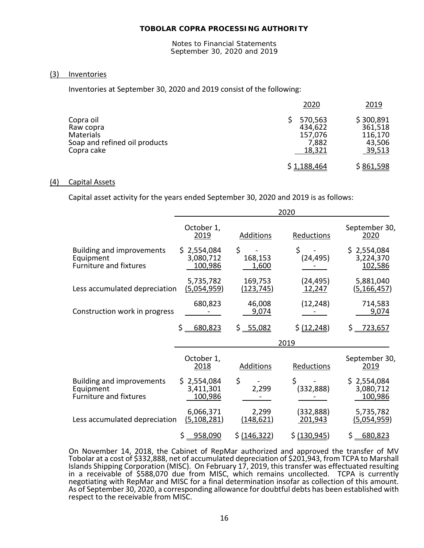Notes to Financial Statements September 30, 2020 and 2019

#### (3) Inventories

Inventories at September 30, 2020 and 2019 consist of the following:

|                                                                                    | 2020                                             | 2019                                                |
|------------------------------------------------------------------------------------|--------------------------------------------------|-----------------------------------------------------|
| Copra oil<br>Raw copra<br>Materials<br>Soap and refined oil products<br>Copra cake | 570,563<br>434,622<br>157,076<br>7,882<br>18,321 | \$300,891<br>361,518<br>116,170<br>43,506<br>39,513 |
|                                                                                    | \$1,188,464                                      | \$861,598                                           |

#### (4) Capital Assets

Capital asset activity for the years ended September 30, 2020 and 2019 is as follows:

|                                                                                |                                     |                               | 2020                  |                                     |
|--------------------------------------------------------------------------------|-------------------------------------|-------------------------------|-----------------------|-------------------------------------|
|                                                                                | October 1,<br>2019                  | <b>Additions</b>              | Reductions            | September 30,<br>2020               |
| <b>Building and improvements</b><br>Equipment<br><b>Furniture and fixtures</b> | \$2,554,084<br>3,080,712<br>100,986 | \$<br>168,153<br><u>1,600</u> | \$<br>(24,495)        | \$2,554,084<br>3,224,370<br>102,586 |
| Less accumulated depreciation                                                  | 5,735,782<br>(5,054,959)            | 169,753<br>(123, 745)         | (24, 495)<br>12,247   | 5,881,040<br>(5, 166, 457)          |
| Construction work in progress                                                  | 680,823                             | 46,008<br>9,074               | (12, 248)             | 714,583<br>9,074                    |
|                                                                                | \$.<br>680,823                      | \$ 55,082                     | \$ (12, 248)          | $$ -723,657$                        |
|                                                                                |                                     |                               | 2019                  |                                     |
|                                                                                | October 1,<br>2018                  | Additions                     | Reductions            | September 30,<br>2019               |
| <b>Building and improvements</b><br>Equipment<br><b>Furniture and fixtures</b> | \$2,554,084<br>3,411,301<br>100,986 | \$<br>2,299                   | \$<br>(332, 888)      | \$2,554,084<br>3,080,712<br>100,986 |
| Less accumulated depreciation                                                  | 6,066,371<br>(5, 108, 281)          | 2,299<br><u>(148,621)</u>     | (332, 888)<br>201,943 | 5,735,782<br><u>(5,054,959)</u>     |
|                                                                                | 958,090                             | \$ (146, 322)                 | \$ (130,945)          | \$.<br>680,823                      |

On November 14, 2018, the Cabinet of RepMar authorized and approved the transfer of MV Tobolar at a cost of \$332,888, net of accumulated depreciation of \$201,943, from TCPA to Marshall Islands Shipping Corporation (MISC). On February 17, 2019, this transfer was effectuated resulting Islands Shipping Corporation (MISC). On February 17, 2019, this transfer was effectuated resulting<br>in a receivable of \$588,070 due from MISC, which remains uncollected. TCPA is currently negotiating with RepMar and MISC for a final determination insofar as collection of this amount. As of September 30, 2020, a corresponding allowance for doubtful debts has been established with respect to the receivable from MISC.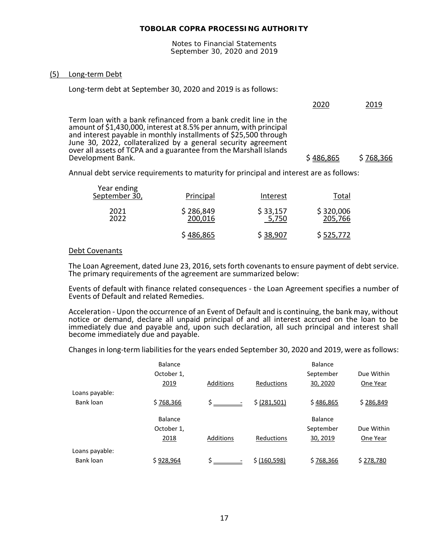Notes to Financial Statements September 30, 2020 and 2019

#### (5) Long-term Debt

Long-term debt at September 30, 2020 and 2019 is as follows:

|                                                                                                                                                                                                                                                                                                                                                                     | 2020      | 2019      |
|---------------------------------------------------------------------------------------------------------------------------------------------------------------------------------------------------------------------------------------------------------------------------------------------------------------------------------------------------------------------|-----------|-----------|
| Term loan with a bank refinanced from a bank credit line in the<br>amount of \$1,430,000, interest at 8.5% per annum, with principal<br>and interest payable in monthly installments of \$25,500 through<br>June 30, 2022, collateralized by a general security agreement<br>over all assets of TCPA and a guarantee from the Marshall Islands<br>Development Bank. | \$486,865 | \$768,366 |

Annual debt service requirements to maturity for principal and interest are as follows:

| Year ending<br><u>September 30,</u> | Principal            | Interest          | Total                |
|-------------------------------------|----------------------|-------------------|----------------------|
| 2021<br>2022                        | \$286,849<br>200,016 | \$33,157<br>5,750 | \$320,006<br>205,766 |
|                                     | \$486,865            | \$38,907          | \$525,772            |

# Debt Covenants

The Loan Agreement, dated June 23, 2016, sets forth covenants to ensure payment of debt service. The primary requirements of the agreement are summarized below:

Events of default with finance related consequences - the Loan Agreement specifies a number of Events of Default and related Remedies.

Acceleration - Upon the occurrence of an Event of Default and is continuing, the bank may, without notice or demand, declare all unpaid principal of and all interest accrued on the loan to be immediately due and payable and, upon such declaration, all such principal and interest shall become immediately due and payable.

Changes in long-term liabilities for the years ended September 30, 2020 and 2019, were as follows:

|                | Balance    |           |               | <b>Balance</b> |            |
|----------------|------------|-----------|---------------|----------------|------------|
|                | October 1, |           |               | September      | Due Within |
|                | 2019       | Additions | Reductions    | 30, 2020       | One Year   |
| Loans payable: |            |           |               |                |            |
| Bank loan      | \$768,366  | \$        | \$ (281, 501) | \$486,865      | \$286,849  |
|                | Balance    |           |               | <b>Balance</b> |            |
|                | October 1, |           |               | September      | Due Within |
|                | 2018       | Additions | Reductions    | 30, 2019       | One Year   |
| Loans payable: |            |           |               |                |            |
| Bank loan      | \$928,964  | Ś         | \$(160, 598)  | \$768,366      | \$278,780  |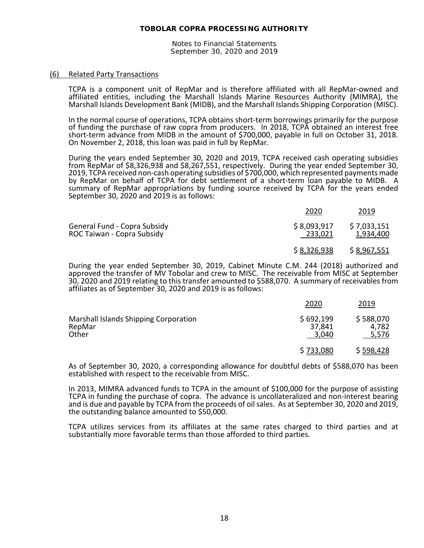Notes to Financial Statements September 30, 2020 and 2019

#### (6) Related Party Transactions

TCPA is a component unit of RepMar and is therefore affiliated with all RepMar-owned and affiliated entities, including the Marshall Islands Marine Resources Authority (MIMRA), the Marshall Islands Development Bank (MIDB), and the Marshall Islands Shipping Corporation (MISC).

In the normal course of operations, TCPA obtains short-term borrowings primarily for the purpose of funding the purchase of raw copra from producers. In 2018, TCPA obtained an interest free short-term advance from MIDB in the amount of \$700,000, payable in full on October 31, 2018. On November 2, 2018, this loan was paid in full by RepMar.

During the years ended September 30, 2020 and 2019, TCPA received cash operating subsidies from RepMar of \$8,326,938 and \$8,267,551, respectively. During the year ended September 30, 2019, TCPA received non-cash operating subsidies of \$700,000, which represented payments made by RepMar on behalf of TCPA for debt settlement of a short-term loan payable to MIDB. A summary of RepMar appropriations by funding source received by TCPA for the years ended September 30, 2020 and 2019 is as follows:

|                                                            | 2020                   | 2019                     |
|------------------------------------------------------------|------------------------|--------------------------|
| General Fund - Copra Subsidy<br>ROC Taiwan - Copra Subsidy | \$8,093,917<br>233,021 | \$7,033,151<br>1,934,400 |
|                                                            | \$8,326,938            | \$ 8,967,551             |

During the year ended September 30, 2019, Cabinet Minute C.M. 244 (2018) authorized and approved the transfer of MV Tobolar and crew to MISC. The receivable from MISC at September 30, 2020 and 2019 relating to this transfer amounted to \$588,070. A summary of receivables from affiliates as of September 30, 2020 and 2019 is as follows:

|                                                          | 2020                         | 2019                        |
|----------------------------------------------------------|------------------------------|-----------------------------|
| Marshall Islands Shipping Corporation<br>RepMar<br>Other | \$692,199<br>37,841<br>3.040 | \$588,070<br>4,782<br>5,576 |
|                                                          | \$733,080                    | \$598,428                   |

As of September 30, 2020, a corresponding allowance for doubtful debts of \$588,070 has been established with respect to the receivable from MISC.

In 2013, MIMRA advanced funds to TCPA in the amount of \$100,000 for the purpose of assisting TCPA in funding the purchase of copra. The advance is uncollateralized and non-interest bearing and is due and payable by TCPA from the proceeds of oil sales. As at September 30, 2020 and 2019, the outstanding balance amounted to \$50,000.

TCPA utilizes services from its affiliates at the same rates charged to third parties and at substantially more favorable terms than those afforded to third parties.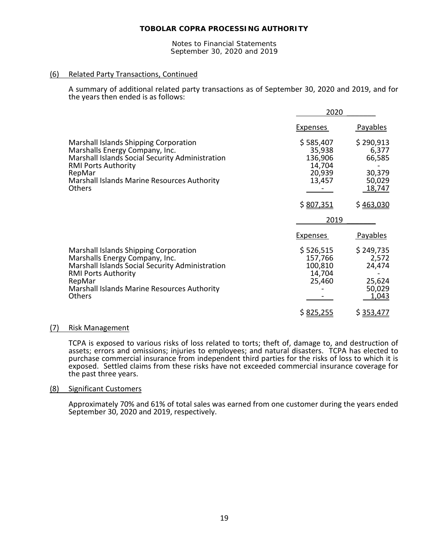Notes to Financial Statements September 30, 2020 and 2019

# (6) Related Party Transactions, Continued

A summary of additional related party transactions as of September 30, 2020 and 2019, and for the years then ended is as follows:

|                                                                                                                                                                                                                             | 2020                                                         |                                                            |
|-----------------------------------------------------------------------------------------------------------------------------------------------------------------------------------------------------------------------------|--------------------------------------------------------------|------------------------------------------------------------|
|                                                                                                                                                                                                                             | <b>Expenses</b>                                              | Payables                                                   |
| Marshall Islands Shipping Corporation<br>Marshalls Energy Company, Inc.<br>Marshall Islands Social Security Administration<br><b>RMI Ports Authority</b><br>RepMar<br>Marshall Islands Marine Resources Authority<br>Others | \$585,407<br>35,938<br>136,906<br>14,704<br>20,939<br>13,457 | \$290,913<br>6,377<br>66,585<br>30,379<br>50,029<br>18,747 |
|                                                                                                                                                                                                                             | \$807,351                                                    | \$463,030                                                  |
|                                                                                                                                                                                                                             | 2019                                                         |                                                            |
|                                                                                                                                                                                                                             | <b>Expenses</b>                                              | <b>Payables</b>                                            |
| Marshall Islands Shipping Corporation<br>Marshalls Energy Company, Inc.<br>Marshall Islands Social Security Administration<br><b>RMI Ports Authority</b><br>RepMar<br>Marshall Islands Marine Resources Authority<br>Others | \$526,515<br>157,766<br>100,810<br>14,704<br>25,460          | \$249,735<br>2,572<br>24,474<br>25,624<br>50,029<br>1,043  |
|                                                                                                                                                                                                                             | <u>\$ 825,255</u>                                            | \$353,477                                                  |

# (7) Risk Management

TCPA is exposed to various risks of loss related to torts; theft of, damage to, and destruction of assets; errors and omissions; injuries to employees; and natural disasters. TCPA has elected to purchase commercial insurance from independent third parties for the risks of loss to which it is exposed. Settled claims from these risks have not exceeded commercial insurance coverage for the past three years.

# (8) Significant Customers

Approximately 70% and 61% of total sales was earned from one customer during the years ended September 30, 2020 and 2019, respectively.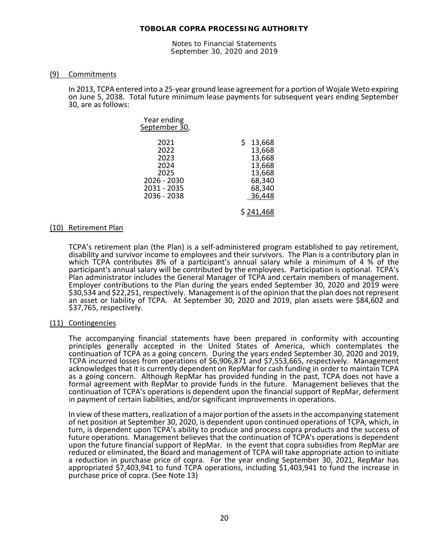Notes to Financial Statements September 30, 2020 and 2019

#### (9) Commitments

In 2013, TCPA entered into a 25-year ground lease agreement for a portion of Wojale Weto expiring on June 5, 2038. Total future minimum lease payments for subsequent years ending September 30, are as follows:

| Year ending<br>September 30,                                                      |                                                                                     |
|-----------------------------------------------------------------------------------|-------------------------------------------------------------------------------------|
| 2021<br>2022<br>2023<br>2024<br>2025<br>2026 - 2030<br>2031 - 2035<br>2036 - 2038 | 13,668<br>\$.<br>13,668<br>13,668<br>13,668<br>13,668<br>68,340<br>68,340<br>36,448 |
|                                                                                   | \$241,468                                                                           |

# (10) Retirement Plan

TCPA's retirement plan (the Plan) is a self-administered program established to pay retirement, disability and survivor income to employees and their survivors. The Plan is a contributory plan in which TCPA contributes 8% of a participant's annual salary while a minimum of 4 % of the participant's annual salary will be contributed by the employees. Participation is optional. TCPA's Plan administrator includes the General Manager of TCPA and certain members of management. Employer contributions to the Plan during the years ended September 30, 2020 and 2019 were \$30,534 and \$22,251, respectively. Management is of the opinion that the plan does not represent an asset or liability of TCPA. At September 30, 2020 and 2019, plan assets were \$84,602 and \$37,765, respectively.

#### (11) Contingencies

The accompanying financial statements have been prepared in conformity with accounting principles generally accepted in the United States of America, which contemplates the continuation of TCPA as a going concern. During the years ended September 30, 2020 and 2019, TCPA incurred losses from operations of \$6,906,871 and \$7,553,665, respectively. Management acknowledges that it is currently dependent on RepMar for cash funding in order to maintain TCPA as a going concern. Although RepMar has provided funding in the past, TCPA does not have a formal agreement with RepMar to provide funds in the future. Management believes that the continuation of TCPA's operations is dependent upon the financial support of RepMar, deferment in payment of certain liabilities, and/or significant improvements in operations.

In view of these matters, realization of a major portion of the assets in the accompanying statement of net position at September 30, 2020, is dependent upon continued operations of TCPA, which, in turn, is dependent upon TCPA's ability to produce and process copra products and the success of future operations. Management believes that the continuation of TCPA's operations is dependent upon the future financial support of RepMar. In the event that copra subsidies from RepMar are reduced or eliminated, the Board and management of TCPA will take appropriate action to initiate appropriated \$7,403,941 to fund TCPA operations, including \$1,403,941 to fund the increase in purchase price of copra. (See Note 13)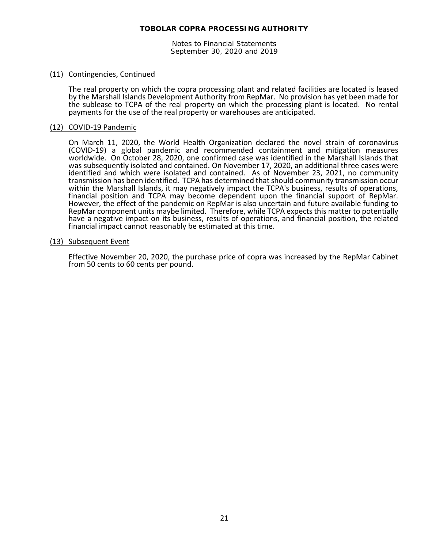Notes to Financial Statements September 30, 2020 and 2019

# (11) Contingencies, Continued

The real property on which the copra processing plant and related facilities are located is leased by the Marshall Islands Development Authority from RepMar. No provision has yet been made for the sublease to TCPA of the real property on which the processing plant is located. No rental payments for the use of the real property or warehouses are anticipated.

# (12) COVID-19 Pandemic

On March 11, 2020, the World Health Organization declared the novel strain of coronavirus (COVID-19) a global pandemic and recommended containment and mitigation measures worldwide. On October 28, 2020, one confirmed case was identified in the Marshall Islands that was subsequently isolated and contained. On November 17, 2020, an additional three cases were identified and which were isolated and contained. As of November 23, 2021, no community transmission has been identified. TCPA has determined that should community transmission occur within the Marshall Islands, it may negatively impact the TCPA's business, results of operations, financial position and TCPA may become dependent upon the financial support of RepMar. However, the effect of the pandemic on RepMar is also uncertain and future available funding to RepMar component units maybe limited. Therefore, while TCPA expects this matter to potentially have a negative impact on its business, results of operations, and financial position, the related financial impact cannot reasonably be estimated at this time.

# (13) Subsequent Event

Effective November 20, 2020, the purchase price of copra was increased by the RepMar Cabinet from 50 cents to 60 cents per pound.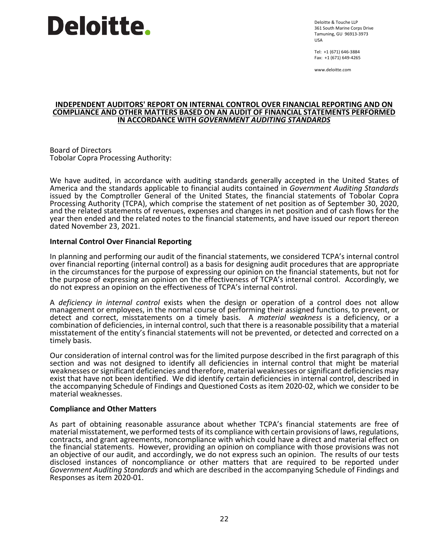# **Deloitte.**

Deloitte & Touche LLP 361 South Marine Corps Drive Tamuning, GU 96913-3973 USA

Tel: +1 (671) 646-3884 Fax: +1 (671) 649-4265

www.deloitte.com

#### **INDEPENDENT AUDITORS' REPORT ON INTERNAL CONTROL OVER FINANCIAL REPORTING AND ON COMPLIANCE AND OTHER MATTERS BASED ON AN AUDIT OF FINANCIAL STATEMENTS PERFORMED IN ACCORDANCE WITH** *GOVERNMENT AUDITING STANDARDS*

Board of Directors Tobolar Copra Processing Authority:

We have audited, in accordance with auditing standards generally accepted in the United States of America and the standards applicable to financial audits contained in *Government Auditing Standards* issued by the Comptroller General of the United States, the financial statements of Tobolar Copra Processing Authority (TCPA), which comprise the statement of net position as of September 30, 2020, and the related statements of revenues, expenses and changes in net position and of cash flows for the year then ended and the related notes to the financial statements, and have issued our report thereon dated November 23, 2021.

# **Internal Control Over Financial Reporting**

In planning and performing our audit of the financial statements, we considered TCPA's internal control over financial reporting (internal control) as a basis for designing audit procedures that are appropriate in the circumstances for the purpose of expressing our opinion on the financial statements, but not for the purpose of expressing an opinion on the effectiveness of TCPA's internal control. Accordingly, we do not express an opinion on the effectiveness of TCPA's internal control.

A *deficiency in internal control* exists when the design or operation of a control does not allow management or employees, in the normal course of performing their assigned functions, to prevent, or detect and correct, misstatements on a timely basis. A *material weakness* is a deficiency, or a combination of deficiencies, in internal control, such that there is a reasonable possibility that a material misstatement of the entity's financial statements will not be prevented, or detected and corrected on a timely basis.

Our consideration of internal control was for the limited purpose described in the first paragraph of this section and was not designed to identify all deficiencies in internal control that might be material weaknesses or significant deficiencies and therefore, material weaknesses or significant deficiencies may exist that have not been identified. We did identify certain deficiencies in internal control, described in the accompanying Schedule of Findings and Questioned Costs as item 2020-02, which we consider to be material weaknesses.

# **Compliance and Other Matters**

As part of obtaining reasonable assurance about whether TCPA's financial statements are free of material misstatement, we performed tests of its compliance with certain provisions of laws, regulations, contracts, and grant agreements, noncompliance with which could have a direct and material effect on the financial statements. However, providing an opinion on compliance with those provisions was not an objective of our audit, and accordingly, we do not express such an opinion. The results of our tests disclosed instances of noncompliance or other matters that are required to be reported under *Government Auditing Standards* and which are described in the accompanying Schedule of Findings and Responses as item 2020-01.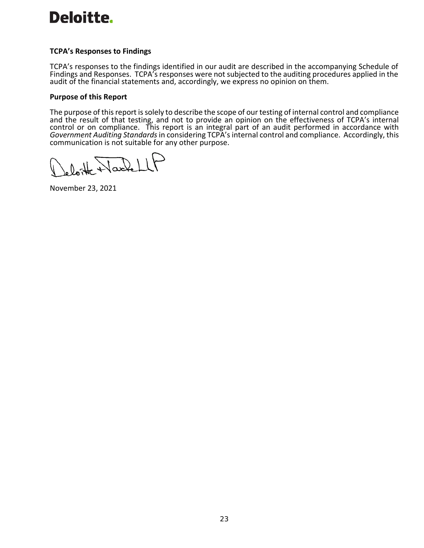# Deloitte.

# **TCPA's Responses to Findings**

TCPA's responses to the findings identified in our audit are described in the accompanying Schedule of Findings and Responses. TCPA's responses were not subjected to the auditing procedures applied in the audit of the financial statements and, accordingly, we express no opinion on them.

# **Purpose of this Report**

The purpose of this report is solely to describe the scope of our testing of internal control and compliance and the result of that testing, and not to provide an opinion on the effectiveness of TCPA's internal control or on compliance. This report is an integral part of an audit performed in accordance with *Government Auditing Standards* in considering TCPA's internal control and compliance. Accordingly, this communication is not suitable for any other purpose.

loith Wardell

November 23, 2021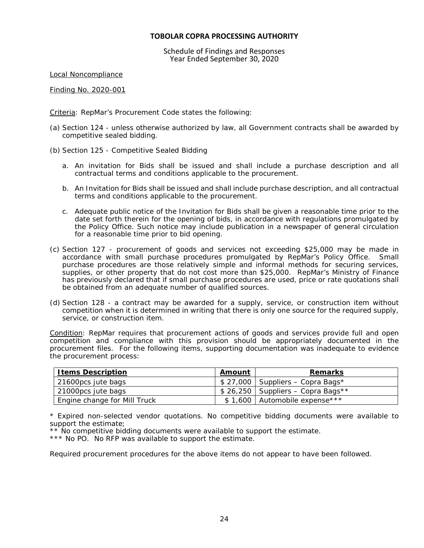Schedule of Findings and Responses Year Ended September 30, 2020

Local Noncompliance

Finding No. 2020-001

Criteria: RepMar's Procurement Code states the following:

- (a) Section 124 unless otherwise authorized by law, all Government contracts shall be awarded by competitive sealed bidding.
- (b) Section 125 Competitive Sealed Bidding
	- a. An invitation for Bids shall be issued and shall include a purchase description and all contractual terms and conditions applicable to the procurement.
	- b. An Invitation for Bids shall be issued and shall include purchase description, and all contractual terms and conditions applicable to the procurement.
	- c. Adequate public notice of the Invitation for Bids shall be given a reasonable time prior to the date set forth therein for the opening of bids, in accordance with regulations promulgated by the Policy Office. Such notice may include publication in a newspaper of general circulation for a reasonable time prior to bid opening.
- (c) Section 127 procurement of goods and services not exceeding \$25,000 may be made in accordance with small purchase procedures promulgated by RepMar's Policy Office. Small purchase procedures are those relatively simple and informal methods for securing services, supplies, or other property that do not cost more than \$25,000. RepMar's Ministry of Finance has previously declared that if small purchase procedures are used, price or rate quotations shall be obtained from an adequate number of qualified sources.
- (d) Section 128 a contract may be awarded for a supply, service, or construction item without competition when it is determined in writing that there is only one source for the required supply, service, or construction item.

Condition: RepMar requires that procurement actions of goods and services provide full and open competition and compliance with this provision should be appropriately documented in the procurement files. For the following items, supporting documentation was inadequate to evidence the procurement process:

| <b>Items Description</b>     | <u>Amount</u> | <b>Remarks</b>                                    |
|------------------------------|---------------|---------------------------------------------------|
| 21600pcs jute bags           |               | $\frac{1}{2}$ \$ 27,000   Suppliers – Copra Bags* |
| 21000pcs jute bags           |               | $$26,250$ Suppliers - Copra Bags**                |
| Engine change for Mill Truck |               | $$1,600$ Automobile expense***                    |

*\* Expired non-selected vendor quotations. No competitive bidding documents were available to support the estimate;*

*\*\* No competitive bidding documents were available to support the estimate.*

*\*\*\* No PO. No RFP was available to support the estimate.*

Required procurement procedures for the above items do not appear to have been followed.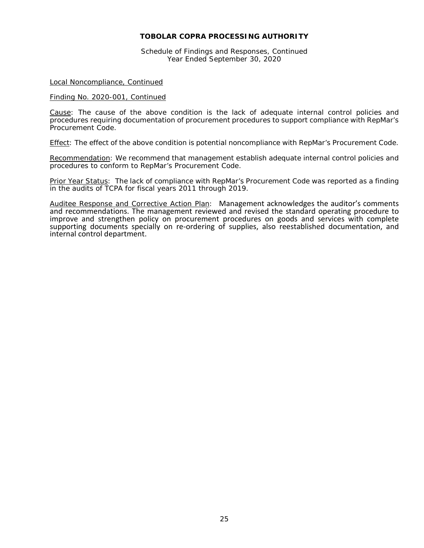Schedule of Findings and Responses, Continued Year Ended September 30, 2020

#### Local Noncompliance, Continued

#### Finding No. 2020-001, Continued

Cause: The cause of the above condition is the lack of adequate internal control policies and procedures requiring documentation of procurement procedures to support compliance with RepMar's Procurement Code.

Effect: The effect of the above condition is potential noncompliance with RepMar's Procurement Code.

Recommendation: We recommend that management establish adequate internal control policies and procedures to conform to RepMar's Procurement Code.

Prior Year Status: The lack of compliance with RepMar's Procurement Code was reported as a finding in the audits of TCPA for fiscal years 2011 through 2019.

Auditee Response and Corrective Action Plan: Management acknowledges the auditor's comments and recommendations. The management reviewed and revised the standard operating procedure to improve and strengthen policy on procurement procedures on goods and services with complete supporting documents specially on re-ordering of supplies, also reestablished documentation, and internal control department.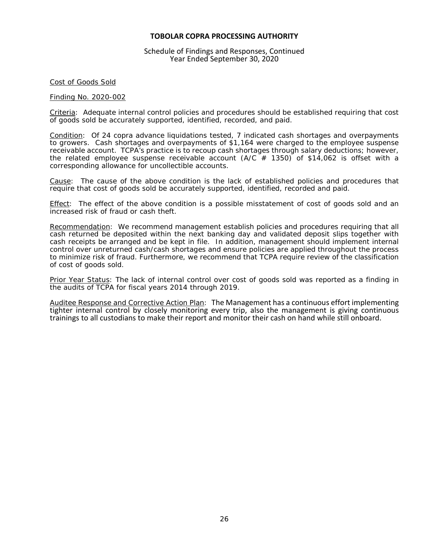Schedule of Findings and Responses, Continued Year Ended September 30, 2020

#### Cost of Goods Sold

#### Finding No. 2020-002

Criteria: Adequate internal control policies and procedures should be established requiring that cost of goods sold be accurately supported, identified, recorded, and paid.

Condition: Of 24 copra advance liquidations tested, 7 indicated cash shortages and overpayments to growers. Cash shortages and overpayments of \$1,164 were charged to the employee suspense receivable account. TCPA's practice is to recoup cash shortages through salary deductions; however, the related employee suspense receivable account  $(A/C \neq 1350)$  of \$14,062 is offset with a corresponding allowance for uncollectible accounts.

Cause: The cause of the above condition is the lack of established policies and procedures that require that cost of goods sold be accurately supported, identified, recorded and paid.

Effect: The effect of the above condition is a possible misstatement of cost of goods sold and an increased risk of fraud or cash theft.

Recommendation: We recommend management establish policies and procedures requiring that all cash returned be deposited within the next banking day and validated deposit slips together with cash receipts be arranged and be kept in file. In addition, management should implement internal control over unreturned cash/cash shortages and ensure policies are applied throughout the process to minimize risk of fraud. Furthermore, we recommend that TCPA require review of the classification of cost of goods sold.

Prior Year Status: The lack of internal control over cost of goods sold was reported as a finding in the audits of TCPA for fiscal years 2014 through 2019.

Auditee Response and Corrective Action Plan: The Management has a continuous effort implementing tighter internal control by closely monitoring every trip, also the management is giving continuous trainings to all custodians to make their report and monitor their cash on hand while still onboard.